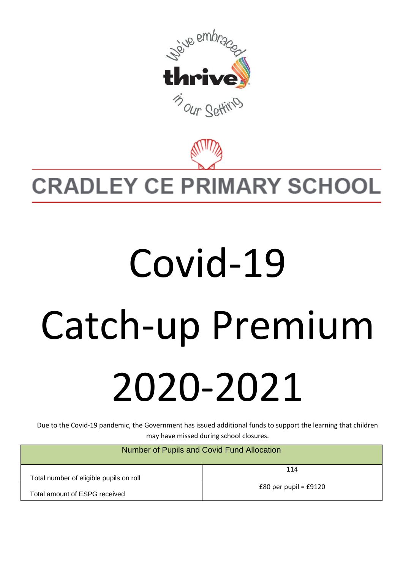

## **CRADLEY CE PRIMARY SCHOOL**

## Covid-19 Catch-up Premium 2020-2021

Due to the Covid-19 pandemic, the Government has issued additional funds to support the learning that children may have missed during school closures.

| Number of Pupils and Covid Fund Allocation |                           |  |
|--------------------------------------------|---------------------------|--|
| Total number of eligible pupils on roll    | 114                       |  |
| Total amount of ESPG received              | $£80$ per pupil = $£9120$ |  |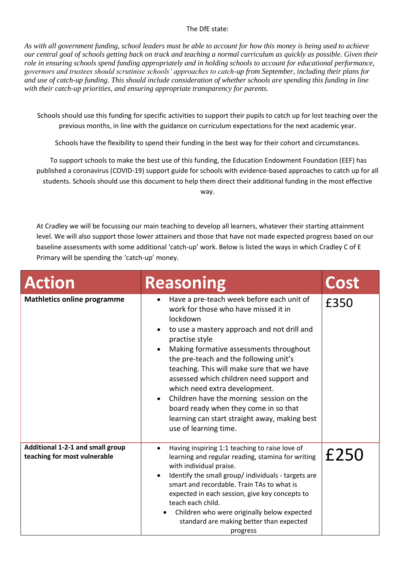## The DfE state:

*As with all government funding, school leaders must be able to account for how this money is being used to achieve our central goal of schools getting back on track and teaching a normal curriculum as quickly as possible. Given their role in ensuring schools spend funding appropriately and in holding schools to account for educational performance, governors and trustees should scrutinise schools' approaches to catch-up from September, including their plans for and use of catch-up funding. This should include consideration of whether schools are spending this funding in line with their catch-up priorities, and ensuring appropriate transparency for parents.*

Schools should use this funding for specific activities to support their pupils to catch up for lost teaching over the previous months, in line with the guidance on curriculum expectations for the next academic year.

Schools have the flexibility to spend their funding in the best way for their cohort and circumstances.

To support schools to make the best use of this funding, the Education Endowment Foundation (EEF) has published a coronavirus (COVID-19) support guide for schools with evidence-based approaches to catch up for all students. Schools should use this document to help them direct their additional funding in the most effective way.

At Cradley we will be focussing our main teaching to develop all learners, whatever their starting attainment level. We will also support those lower attainers and those that have not made expected progress based on our baseline assessments with some additional 'catch-up' work. Below is listed the ways in which Cradley C of E Primary will be spending the 'catch-up' money.

| <b>Action</b>                                                    | <b>Reasoning</b>                                                                                                                                                                                                                                                                                                                                                                                                                                                                                                                                                        | Cost |
|------------------------------------------------------------------|-------------------------------------------------------------------------------------------------------------------------------------------------------------------------------------------------------------------------------------------------------------------------------------------------------------------------------------------------------------------------------------------------------------------------------------------------------------------------------------------------------------------------------------------------------------------------|------|
| <b>Mathletics online programme</b>                               | Have a pre-teach week before each unit of<br>work for those who have missed it in<br>lockdown<br>to use a mastery approach and not drill and<br>practise style<br>Making formative assessments throughout<br>$\bullet$<br>the pre-teach and the following unit's<br>teaching. This will make sure that we have<br>assessed which children need support and<br>which need extra development.<br>Children have the morning session on the<br>$\bullet$<br>board ready when they come in so that<br>learning can start straight away, making best<br>use of learning time. | £350 |
| Additional 1-2-1 and small group<br>teaching for most vulnerable | Having inspiring 1:1 teaching to raise love of<br>$\bullet$<br>learning and regular reading, stamina for writing<br>with individual praise.<br>Identify the small group/individuals - targets are<br>smart and recordable. Train TAs to what is<br>expected in each session, give key concepts to<br>teach each child.<br>Children who were originally below expected<br>standard are making better than expected<br>progress                                                                                                                                           | £250 |